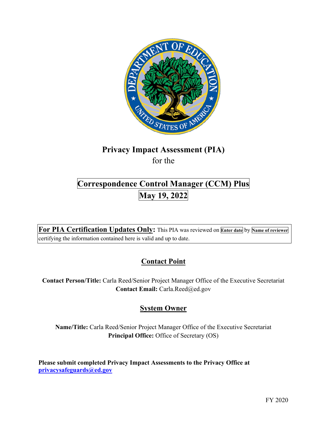

# **Privacy Impact Assessment (PIA)**

for the

## **Correspondence Control Manager (CCM) Plus May 19, 2022**

 **For PIA Certification Updates Only:** This PIA was reviewed on **Enter date** by **Name of reviewer**  certifying the information contained here is valid and up to date.

## **Contact Point**

 **Contact Person/Title:** Carla Reed/Senior Project Manager Office of the Executive Secretariat **Contact Email:** [Carla.Reed@ed.gov](mailto:Carla.Reed@ed.gov)

## **System Owner**

**Name/Title:** Carla Reed/Senior Project Manager Office of the Executive Secretariat **Principal Office:** Office of Secretary (OS)

 **[privacysafeguards@ed.gov](mailto:privacysafeguards@ed.gov) Please submit completed Privacy Impact Assessments to the Privacy Office at**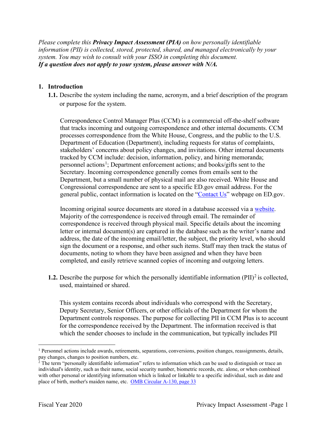*Please complete this Privacy Impact Assessment (PIA) on how personally identifiable information (PII) is collected, stored, protected, shared, and managed electronically by your system. You may wish to consult with your ISSO in completing this document. If a question does not apply to your system, please answer with N/A.* 

#### **1. Introduction**

**1.1.** Describe the system including the name, acronym, and a brief description of the program or purpose for the system.

Correspondence Control Manager Plus (CCM) is a commercial off-the-shelf software that tracks incoming and outgoing correspondence and other internal documents. CCM processes correspondence from the White House, Congress, and the public to the U.S. Department of Education (Department), including requests for status of complaints, stakeholders' concerns about policy changes, and invitations. Other internal documents tracked by CCM include: decision, information, policy, and hiring memoranda; personnel actions<sup>1</sup>; Department enforcement actions; and books/gifts sent to the Secretary. Incoming correspondence generally comes from emails sent to the Department, but a small number of physical mail are also received. White House and Congressional correspondence are sent to a specific ED.gov email address. For the general public, contact information is located on the "Contact Us" webpage on ED.gov.

 Majority of the correspondence is received through email. The remainder of Incoming original source documents are stored in a database accessed via a website. correspondence is received through physical mail. Specific details about the incoming letter or internal document(s) are captured in the database such as the writer's name and address, the date of the incoming email/letter, the subject, the priority level, who should sign the document or a response, and other such items. Staff may then track the status of documents, noting to whom they have been assigned and when they have been completed, and easily retrieve scanned copies of incoming and outgoing letters.

**1.2.** Describe the purpose for which the personally identifiable information (PII)<sup>2</sup> is collected, used, maintained or shared.

 Deputy Secretary, Senior Officers, or other officials of the Department for whom the This system contains records about individuals who correspond with the Secretary, Department controls responses. The purpose for collecting PII in CCM Plus is to account for the correspondence received by the Department. The information received is that which the sender chooses to include in the communication, but typically includes PII

pay changes, changes to position numbers, etc.  $1$  Personnel actions include awards, retirements, separations, conversions, position changes, reassignments, details,

place of birth, mother's maiden name, etc. OMB Circular A-130, page 33  $2$  The term "personally identifiable information" refers to information which can be used to distinguish or trace an individual's identity, such as their name, social security number, biometric records, etc. alone, or when combined with other personal or identifying information which is linked or linkable to a specific individual, such as date and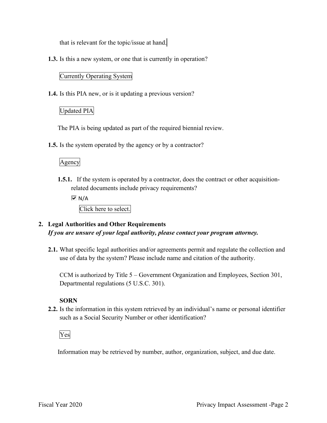that is relevant for the topic/issue at hand.

**1.3.** Is this a new system, or one that is currently in operation?

#### Currently Operating System

**1.4.** Is this PIA new, or is it updating a previous version?

#### Updated PIA

The PIA is being updated as part of the required biennial review.

**1.5.** Is the system operated by the agency or by a contractor?

#### Agency

- **1.5.1.** If the system is operated by a contractor, does the contract or other acquisitionrelated documents include privacy requirements?
	- $\overline{M}$  N/A

Click here to select.

#### **2. Legal Authorities and Other Requirements**  *If you are unsure of your legal authority, please contact your program attorney.*

**2.1.** What specific legal authorities and/or agreements permit and regulate the collection and use of data by the system? Please include name and citation of the authority.

CCM is authorized by Title 5 – Government Organization and Employees, Section 301, Departmental regulations (5 U.S.C. 301).

#### **SORN**

such as a Social Security Number or other identification?<br>Ves **2.2.** Is the information in this system retrieved by an individual's name or personal identifier

Information may be retrieved by number, author, organization, subject, and due date.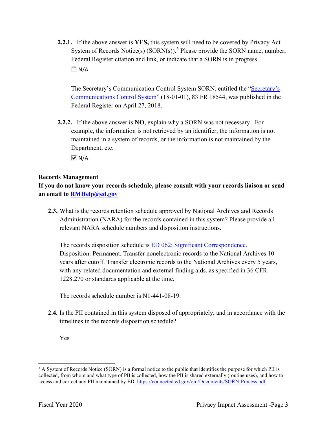**2.2.1.** If the above answer is **YES,** this system will need to be covered by Privacy Act System of Records Notice(s)  $(SORN(s))$ .<sup>3</sup> Please provide the SORN name, number, Federal Register citation and link, or indicate that a SORN is in progress.  $\Box N/A$ 

Communications Control System" (18-01-01), 83 FR 18544, was published in the The Secretary's Communication Control System SORN, entitled the "Secretary's Federal Register on April 27, 2018.

 **2.2.2.** If the above answer is **NO**, explain why a SORN was not necessary. For Department, etc. example, the information is not retrieved by an identifier, the information is not maintained in a system of records, or the information is not maintained by the

 $\overline{M}$  N/A

#### **Records Management**

**If you do not know your records schedule, please consult with your records liaison or send an email to [RMHelp@ed.gov](mailto:RMHelp@ed.gov)** 

 **2.3.** What is the records retention schedule approved by National Archives and Records Administration (NARA) for the records contained in this system? Please provide all relevant NARA schedule numbers and disposition instructions.

The records disposition schedule is <u>ED 062: Significant Correspondence</u>. Disposition: Permanent. Transfer nonelectronic records to the National Archives 10 years after cutoff. Transfer electronic records to the National Archives every 5 years, with any related documentation and external finding aids, as specified in 36 CFR 1228.270 or standards applicable at the time.

The records schedule number is N1-441-08-19.

- **2.4.** Is the PII contained in this system disposed of appropriately, and in accordance with the timelines in the records disposition schedule?
	- Yes

access and correct any PII maintained by ED. https://connected.ed.gov/om/Documents/SORN-Process.pdf<br>Fiscal Year 2020 Privacy Impact Assessment -Page 3 <sup>3</sup> A System of Records Notice (SORN) is a formal notice to the public that identifies the purpose for which PII is collected, from whom and what type of PII is collected, how the PII is shared externally (routine uses), and how to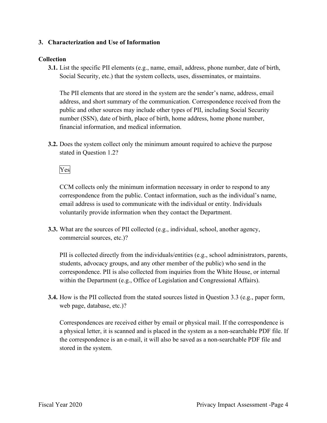#### **3. Characterization and Use of Information**

#### **Collection**

**3.1.** List the specific PII elements (e.g., name, email, address, phone number, date of birth, Social Security, etc.) that the system collects, uses, disseminates, or maintains.

The PII elements that are stored in the system are the sender's name, address, email address, and short summary of the communication. Correspondence received from the public and other sources may include other types of PII, including Social Security number (SSN), date of birth, place of birth, home address, home phone number, financial information, and medical information.

stated in Question 1.2?<br>Yes **3.2.** Does the system collect only the minimum amount required to achieve the purpose

 correspondence from the public. Contact information, such as the individual's name, CCM collects only the minimum information necessary in order to respond to any email address is used to communicate with the individual or entity. Individuals voluntarily provide information when they contact the Department.

**3.3.** What are the sources of PII collected (e.g., individual, school, another agency, commercial sources, etc.)?

PII is collected directly from the individuals/entities (e.g., school administrators, parents, students, advocacy groups, and any other member of the public) who send in the correspondence. PII is also collected from inquiries from the White House, or internal within the Department (e.g., Office of Legislation and Congressional Affairs).

**3.4.** How is the PII collected from the stated sources listed in Question 3.3 (e.g., paper form, web page, database, etc.)?

 a physical letter, it is scanned and is placed in the system as a non-searchable PDF file. If Correspondences are received either by email or physical mail. If the correspondence is the correspondence is an e-mail, it will also be saved as a non-searchable PDF file and stored in the system.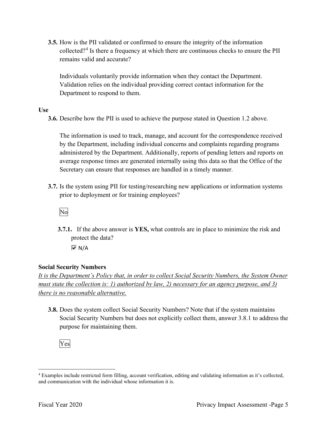**3.5.** How is the PII validated or confirmed to ensure the integrity of the information collected?4 Is there a frequency at which there are continuous checks to ensure the PII remains valid and accurate?

Individuals voluntarily provide information when they contact the Department. Validation relies on the individual providing correct contact information for the Department to respond to them.

**Use** 

**3.6.** Describe how the PII is used to achieve the purpose stated in Question 1.2 above.

The information is used to track, manage, and account for the correspondence received by the Department, including individual concerns and complaints regarding programs administered by the Department. Additionally, reports of pending letters and reports on average response times are generated internally using this data so that the Office of the Secretary can ensure that responses are handled in a timely manner.

prior to deployment or for training employees?<br>No **3.7.** Is the system using PII for testing/researching new applications or information systems

**3.7.1.** If the above answer is **YES,** what controls are in place to minimize the risk and protect the data?

 $\overline{M}$  N/A

#### **Social Security Numbers**

*It is the Department's Policy that, in order to collect Social Security Numbers, the System Owner must state the collection is: 1) authorized by law, 2) necessary for an agency purpose, and 3) there is no reasonable alternative.* 

 **3.8.** Does the system collect Social Security Numbers? Note that if the system maintains Social Security Numbers but does not explicitly collect them, answer 3.8.1 to address the purpose for maintaining them.

Yes

and communication with the individual whose information it is. 4 Examples include restricted form filling, account verification, editing and validating information as it's collected, and communication with the individual whose information it is.<br>Fiscal Year 2020 Privacy Impact Assessment -Page 5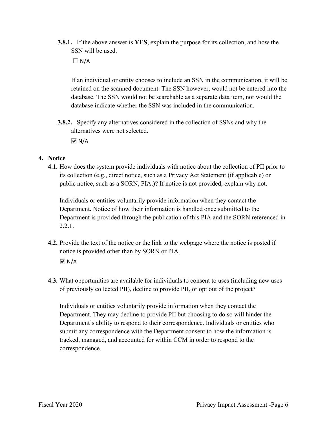- **3.8.1.** If the above answer is **YES**, explain the purpose for its collection, and how the SSN will be used.
	- $\Box$  N/A

If an individual or entity chooses to include an SSN in the communication, it will be retained on the scanned document. The SSN however, would not be entered into the database. The SSN would not be searchable as a separate data item, nor would the database indicate whether the SSN was included in the communication.

 **3.8.2.** Specify any alternatives considered in the collection of SSNs and why the alternatives were not selected.

 $\overline{M}$  N/A

#### **4. Notice**

 its collection (e.g., direct notice, such as a Privacy Act Statement (if applicable) or public notice, such as a SORN, PIA,)? If notice is not provided, explain why not. **4.1.** How does the system provide individuals with notice about the collection of PII prior to

Individuals or entities voluntarily provide information when they contact the Department. Notice of how their information is handled once submitted to the Department is provided through the publication of this PIA and the SORN referenced in 2.2.1.

- **4.2.** Provide the text of the notice or the link to the webpage where the notice is posted if notice is provided other than by SORN or PIA.  $\overline{M}$  N/A
- **4.3.** What opportunities are available for individuals to consent to uses (including new uses of previously collected PII), decline to provide PII, or opt out of the project?

 Individuals or entities voluntarily provide information when they contact the Department. They may decline to provide PII but choosing to do so will hinder the Department's ability to respond to their correspondence. Individuals or entities who submit any correspondence with the Department consent to how the information is tracked, managed, and accounted for within CCM in order to respond to the correspondence.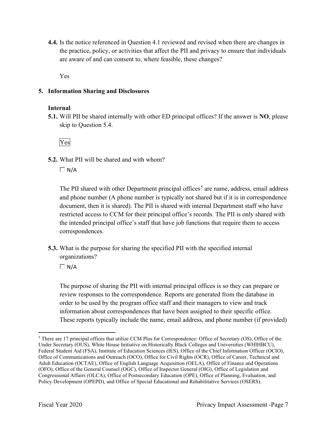are aware of and can consent to, where feasible, these changes? **4.4.** Is the notice referenced in Question 4.1 reviewed and revised when there are changes in the practice, policy, or activities that affect the PII and privacy to ensure that individuals

Yes

#### **5. Information Sharing and Disclosures**

#### **Internal**

 **5.1.** Will PII be shared internally with other ED principal offices? If the answer is **NO**, please skip to Question 5.4.

Yes

**5.2.** What PII will be shared and with whom?

 $\Box$  N/A

The PII shared with other Department principal offices<sup>5</sup> are name, address, email address and phone number (A phone number is typically not shared but if it is in correspondence document, then it is shared). The PII is shared with internal Department staff who have restricted access to CCM for their principal office's records. The PII is only shared with the intended principal office's staff that have job functions that require them to access correspondences.

 organizations? **5.3.** What is the purpose for sharing the specified PII with the specified internal

 $\Box$  N/A

The purpose of sharing the PII with internal principal offices is so they can prepare or review responses to the correspondence. Reports are generated from the database in order to be used by the program office staff and their managers to view and track information about correspondences that have been assigned to their specific office. These reports typically include the name, email address, and phone number (if provided)

<sup>5</sup> There are 17 principal offices that utilize CCM Plus for Correspondence: Office of Secretary (OS), Office of the Under Secretary (OUS), White House Initiative on Historically Black Colleges and Universities (WHIHBCU), Federal Student Aid (FSA), Institute of Education Sciences (IES), Office of the Chief Information Officer (OCIO), Office of Communications and Outreach (OCO), Office for Civil Rights (OCR), Office of Career, Technical and Adult Education (OCTAE), Office of English Language Acquisition (OELA), Office of Finance and Operations (OFO), Office of the General Counsel (OGC), Office of Inspector General (OIG), Office of Legislation and Congressional Affairs (OLCA), Office of Postsecondary Education (OPE), Office of Planning, Evaluation, and Policy Development (OPEPD), and Office of Special Educational and Rehabilitative Services (OSERS).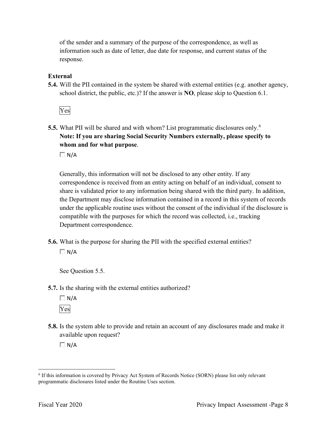information such as date of letter, due date for response, and current status of the of the sender and a summary of the purpose of the correspondence, as well as response.

#### **External**

**5.4.** Will the PII contained in the system be shared with external entities (e.g. another agency, school district, the public, etc.)? If the answer is **NO**, please skip to Question 6.1.

Yes

 **5.5.** What PII will be shared and with whom? List programmatic disclosures only.<sup>6</sup> **Note: If you are sharing Social Security Numbers externally, please specify to whom and for what purpose**.

 $\Box N/A$ 

Generally, this information will not be disclosed to any other entity. If any correspondence is received from an entity acting on behalf of an individual, consent to share is validated prior to any information being shared with the third party. In addition, the Department may disclose information contained in a record in this system of records under the applicable routine uses without the consent of the individual if the disclosure is compatible with the purposes for which the record was collected, i.e., tracking Department correspondence.

**5.6.** What is the purpose for sharing the PII with the specified external entities?  $\Box$  N/A

See Question 5.5.

**5.7.** Is the sharing with the external entities authorized?

 $\Box$  N/A Yes

**5.8.** Is the system able to provide and retain an account of any disclosures made and make it available upon request?

 $\Box$  N/A

<sup>6</sup> If this information is covered by Privacy Act System of Records Notice (SORN) please list only relevant programmatic disclosures listed under the Routine Uses section.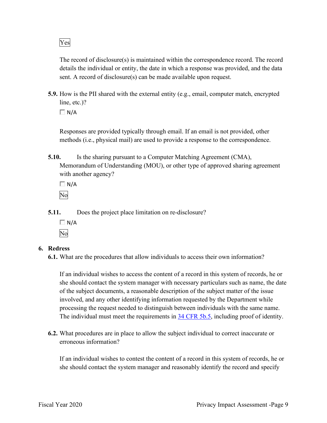The record of disclosure(s) is maintained within the correspondence record. The record details the individual or entity, the date in which a response was provided, and the data sent. A record of disclosure(s) can be made available upon request.

 **5.9.** How is the PII shared with the external entity (e.g., email, computer match, encrypted line, etc.)?

 $\Box$  N/A

Responses are provided typically through email. If an email is not provided, other methods (i.e., physical mail) are used to provide a response to the correspondence.

**5.10.** Is the sharing pursuant to a Computer Matching Agreement (CMA), Memorandum of Understanding (MOU), or other type of approved sharing agreement with another agency?

 $\Box N/A$ No

**5.11.** Does the project place limitation on re-disclosure?

 $\Box N/A$ No

#### **6. Redress**

**6.1.** What are the procedures that allow individuals to access their own information?

If an individual wishes to access the content of a record in this system of records, he or she should contact the system manager with necessary particulars such as name, the date of the subject documents, a reasonable description of the subject matter of the issue involved, and any other identifying information requested by the Department while processing the request needed to distinguish between individuals with the same name. The individual must meet the requirements in 34 CFR 5b.5, including proof of identity.

**6.2.** What procedures are in place to allow the subject individual to correct inaccurate or erroneous information?

If an individual wishes to contest the content of a record in this system of records, he or she should contact the system manager and reasonably identify the record and specify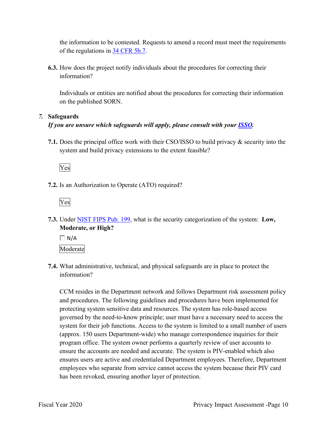the information to be contested. Requests to amend a record must meet the requirements of the regulations in 34 CFR 5b.7.

**6.3.** How does the project notify individuals about the procedures for correcting their information?

Individuals or entities are notified about the procedures for correcting their information on the published SORN.

#### *7.* **Safeguards**

#### *If you are unsure which safeguards will apply, please consult with your ISSO.*

 system and build privacy extensions to the extent feasible? **7.1.** Does the principal office work with their CSO/ISSO to build privacy & security into the

Yes

**7.2.** Is an Authorization to Operate (ATO) required?



**7.3.** Under NIST FIPS Pub. 199, what is the security categorization of the system: **Low, Moderate, or High?** 

 $\Box$  N/A Moderate

**7.4.** What administrative, technical, and physical safeguards are in place to protect the information?

 employees who separate from service cannot access the system because their PIV card CCM resides in the Department network and follows Department risk assessment policy and procedures. The following guidelines and procedures have been implemented for protecting system sensitive data and resources. The system has role-based access governed by the need-to-know principle; user must have a necessary need to access the system for their job functions. Access to the system is limited to a small number of users (approx. 150 users Department-wide) who manage correspondence inquiries for their program office. The system owner performs a quarterly review of user accounts to ensure the accounts are needed and accurate. The system is PIV-enabled which also ensures users are active and credentialed Department employees. Therefore, Department has been revoked, ensuring another layer of protection.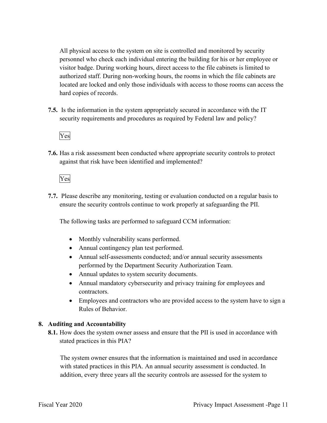All physical access to the system on site is controlled and monitored by security personnel who check each individual entering the building for his or her employee or visitor badge. During working hours, direct access to the file cabinets is limited to authorized staff. During non-working hours, the rooms in which the file cabinets are located are locked and only those individuals with access to those rooms can access the hard copies of records.

 **7.5.** Is the information in the system appropriately secured in accordance with the IT security requirements and procedures as required by Federal law and policy?

#### Yes

**7.6.** Has a risk assessment been conducted where appropriate security controls to protect against that risk have been identified and implemented?

#### Yes

 ensure the security controls continue to work properly at safeguarding the PII. **7.7.** Please describe any monitoring, testing or evaluation conducted on a regular basis to

The following tasks are performed to safeguard CCM information:

- Monthly vulnerability scans performed.
- Annual contingency plan test performed.
- Annual self-assessments conducted; and/or annual security assessments performed by the Department Security Authorization Team.
- Annual updates to system security documents.
- Annual mandatory cybersecurity and privacy training for employees and contractors.
- Employees and contractors who are provided access to the system have to sign a Rules of Behavior.

#### **8. Auditing and Accountability**

 **8.1.** How does the system owner assess and ensure that the PII is used in accordance with stated practices in this PIA?

The system owner ensures that the information is maintained and used in accordance with stated practices in this PIA. An annual security assessment is conducted. In addition, every three years all the security controls are assessed for the system to